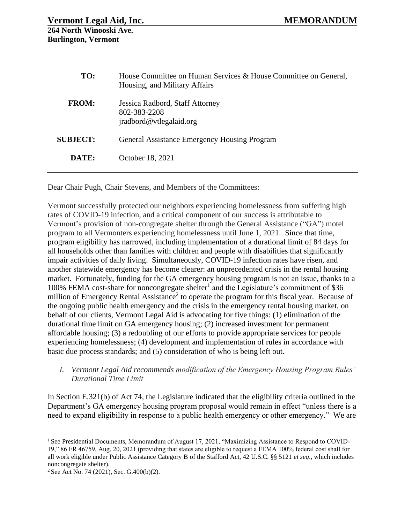| TO:             | House Committee on Human Services & House Committee on General,<br>Housing, and Military Affairs |
|-----------------|--------------------------------------------------------------------------------------------------|
| <b>FROM:</b>    | Jessica Radbord, Staff Attorney<br>802-383-2208<br>jradbord@vtlegalaid.org                       |
| <b>SUBJECT:</b> | General Assistance Emergency Housing Program                                                     |
| DATE:           | October 18, 2021                                                                                 |

Dear Chair Pugh, Chair Stevens, and Members of the Committees:

Vermont successfully protected our neighbors experiencing homelessness from suffering high rates of COVID-19 infection, and a critical component of our success is attributable to Vermont's provision of non-congregate shelter through the General Assistance ("GA") motel program to all Vermonters experiencing homelessness until June 1, 2021. Since that time, program eligibility has narrowed, including implementation of a durational limit of 84 days for all households other than families with children and people with disabilities that significantly impair activities of daily living. Simultaneously, COVID-19 infection rates have risen, and another statewide emergency has become clearer: an unprecedented crisis in the rental housing market. Fortunately, funding for the GA emergency housing program is not an issue, thanks to a 100% FEMA cost-share for noncongregate shelter<sup>1</sup> and the Legislature's commitment of \$36 million of Emergency Rental Assistance<sup>2</sup> to operate the program for this fiscal year. Because of the ongoing public health emergency and the crisis in the emergency rental housing market, on behalf of our clients, Vermont Legal Aid is advocating for five things: (1) elimination of the durational time limit on GA emergency housing; (2) increased investment for permanent affordable housing; (3) a redoubling of our efforts to provide appropriate services for people experiencing homelessness; (4) development and implementation of rules in accordance with basic due process standards; and (5) consideration of who is being left out.

*I. Vermont Legal Aid recommends modification of the Emergency Housing Program Rules' Durational Time Limit*

In Section E.321(b) of Act 74, the Legislature indicated that the eligibility criteria outlined in the Department's GA emergency housing program proposal would remain in effect "unless there is a need to expand eligibility in response to a public health emergency or other emergency." We are

<sup>&</sup>lt;sup>1</sup> See Presidential Documents, Memorandum of August 17, 2021, "Maximizing Assistance to Respond to COVID-19," 86 FR 46759, Aug. 20, 2021 (providing that states are eligible to request a FEMA 100% federal cost shall for all work eligible under Public Assistance Category B of the Stafford Act, 42 U.S.C. §§ 5121 *et seq*., which includes noncongregate shelter).

<sup>&</sup>lt;sup>2</sup> See Act No. 74 (2021), Sec. G.400(b)(2).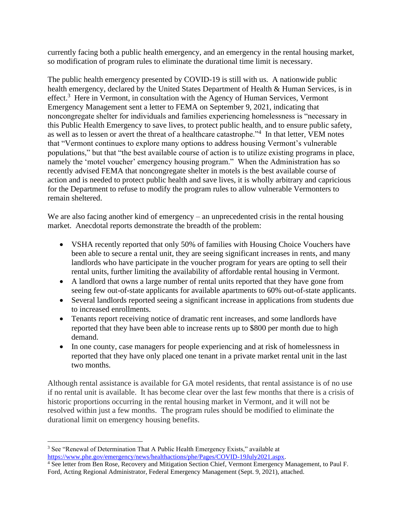currently facing both a public health emergency, and an emergency in the rental housing market, so modification of program rules to eliminate the durational time limit is necessary.

The public health emergency presented by COVID-19 is still with us. A nationwide public health emergency, declared by the United States Department of Health & Human Services, is in effect.<sup>3</sup> Here in Vermont, in consultation with the Agency of Human Services, Vermont Emergency Management sent a letter to FEMA on September 9, 2021, indicating that noncongregate shelter for individuals and families experiencing homelessness is "necessary in this Public Health Emergency to save lives, to protect public health, and to ensure public safety, as well as to lessen or avert the threat of a healthcare catastrophe."<sup>4</sup> In that letter, VEM notes that "Vermont continues to explore many options to address housing Vermont's vulnerable populations," but that "the best available course of action is to utilize existing programs in place, namely the 'motel voucher' emergency housing program." When the Administration has so recently advised FEMA that noncongregate shelter in motels is the best available course of action and is needed to protect public health and save lives, it is wholly arbitrary and capricious for the Department to refuse to modify the program rules to allow vulnerable Vermonters to remain sheltered.

We are also facing another kind of emergency – an unprecedented crisis in the rental housing market. Anecdotal reports demonstrate the breadth of the problem:

- VSHA recently reported that only 50% of families with Housing Choice Vouchers have been able to secure a rental unit, they are seeing significant increases in rents, and many landlords who have participate in the voucher program for years are opting to sell their rental units, further limiting the availability of affordable rental housing in Vermont.
- A landlord that owns a large number of rental units reported that they have gone from seeing few out-of-state applicants for available apartments to 60% out-of-state applicants.
- Several landlords reported seeing a significant increase in applications from students due to increased enrollments.
- Tenants report receiving notice of dramatic rent increases, and some landlords have reported that they have been able to increase rents up to \$800 per month due to high demand.
- In one county, case managers for people experiencing and at risk of homelessness in reported that they have only placed one tenant in a private market rental unit in the last two months.

Although rental assistance is available for GA motel residents, that rental assistance is of no use if no rental unit is available. It has become clear over the last few months that there is a crisis of historic proportions occurring in the rental housing market in Vermont, and it will not be resolved within just a few months. The program rules should be modified to eliminate the durational limit on emergency housing benefits.

<sup>&</sup>lt;sup>3</sup> See "Renewal of Determination That A Public Health Emergency Exists," available at [https://www.phe.gov/emergency/news/healthactions/phe/Pages/COVID-19July2021.aspx.](https://www.phe.gov/emergency/news/healthactions/phe/Pages/COVID-19July2021.aspx)

<sup>4</sup> See letter from Ben Rose, Recovery and Mitigation Section Chief, Vermont Emergency Management, to Paul F. Ford, Acting Regional Administrator, Federal Emergency Management (Sept. 9, 2021), attached.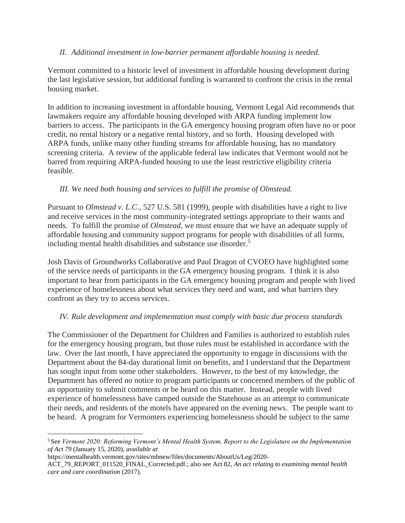## *II. Additional investment in low-barrier permanent affordable housing is needed.*

Vermont committed to a historic level of investment in affordable housing development during the last legislative session, but additional funding is warranted to confront the crisis in the rental housing market.

In addition to increasing investment in affordable housing, Vermont Legal Aid recommends that lawmakers require any affordable housing developed with ARPA funding implement low barriers to access. The participants in the GA emergency housing program often have no or poor credit, no rental history or a negative rental history, and so forth. Housing developed with ARPA funds, unlike many other funding streams for affordable housing, has no mandatory screening criteria. A review of the applicable federal law indicates that Vermont would not be barred from requiring ARPA-funded housing to use the least restrictive eligibility criteria feasible.

## *III. We need both housing and services to fulfill the promise of Olmstead.*

Pursuant to *Olmstead v. L.C*., 527 U.S. 581 (1999), people with disabilities have a right to live and receive services in the most community-integrated settings appropriate to their wants and needs. To fulfill the promise of *Olmstead*, we must ensure that we have an adequate supply of affordable housing and community support programs for people with disabilities of all forms, including mental health disabilities and substance use disorder. 5

Josh Davis of Groundworks Collaborative and Paul Dragon of CVOEO have highlighted some of the service needs of participants in the GA emergency housing program. I think it is also important to hear from participants in the GA emergency housing program and people with lived experience of homelessness about what services they need and want, and what barriers they confront as they try to access services.

## *IV. Rule development and implementation must comply with basic due process standards*

The Commissioner of the Department for Children and Families is authorized to establish rules for the emergency housing program, but those rules must be established in accordance with the law. Over the last month, I have appreciated the opportunity to engage in discussions with the Department about the 84-day durational limit on benefits, and I understand that the Department has sought input from some other stakeholders. However, to the best of my knowledge, the Department has offered no notice to program participants or concerned members of the public of an opportunity to submit comments or be heard on this matter. Instead, people with lived experience of homelessness have camped outside the Statehouse as an attempt to communicate their needs, and residents of the motels have appeared on the evening news. The people want to be heard. A program for Vermonters experiencing homelessness should be subject to the same

<sup>5</sup> See *Vermont 2020: Reforming Vermont's Mental Health System, Report to the Legislature on the Implementation of Act 79* (January 15, 2020), *available at* 

https://mentalhealth.vermont.gov/sites/mhnew/files/documents/AboutUs/Leg/2020-

ACT\_79\_REPORT\_011520\_FINAL\_Corrected.pdf.; also see Act 82, *An act relating to examining mental health care and care coordination* (2017).